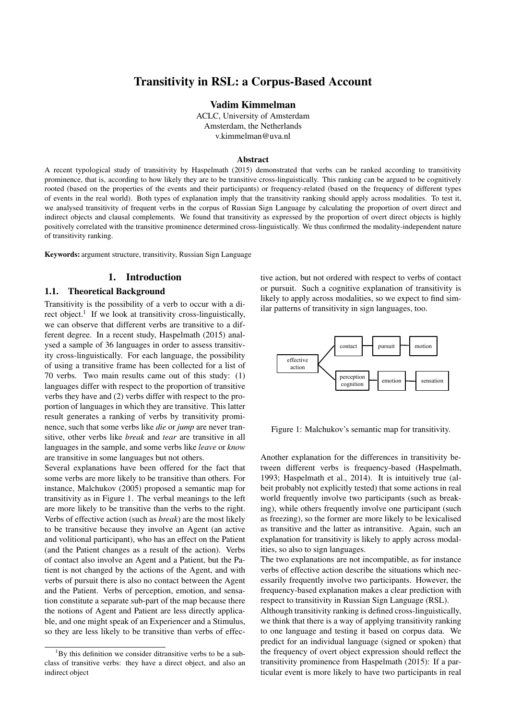# Transitivity in RSL: a Corpus-Based Account

Vadim Kimmelman

ACLC, University of Amsterdam Amsterdam, the Netherlands v.kimmelman@uva.nl

#### Abstract

A recent typological study of transitivity by Haspelmath (2015) demonstrated that verbs can be ranked according to transitivity prominence, that is, according to how likely they are to be transitive cross-linguistically. This ranking can be argued to be cognitively rooted (based on the properties of the events and their participants) or frequency-related (based on the frequency of different types of events in the real world). Both types of explanation imply that the transitivity ranking should apply across modalities. To test it, we analysed transitivity of frequent verbs in the corpus of Russian Sign Language by calculating the proportion of overt direct and indirect objects and clausal complements. We found that transitivity as expressed by the proportion of overt direct objects is highly positively correlated with the transitive prominence determined cross-linguistically. We thus confirmed the modality-independent nature of transitivity ranking.

Keywords: argument structure, transitivity, Russian Sign Language

# 1. Introduction

#### 1.1. Theoretical Background

Transitivity is the possibility of a verb to occur with a direct object.<sup>1</sup> If we look at transitivity cross-linguistically, we can observe that different verbs are transitive to a different degree. In a recent study, Haspelmath (2015) analysed a sample of 36 languages in order to assess transitivity cross-linguistically. For each language, the possibility of using a transitive frame has been collected for a list of 70 verbs. Two main results came out of this study: (1) languages differ with respect to the proportion of transitive verbs they have and (2) verbs differ with respect to the proportion of languages in which they are transitive. This latter result generates a ranking of verbs by transitivity prominence, such that some verbs like *die* or *jump* are never transitive, other verbs like *break* and *tear* are transitive in all languages in the sample, and some verbs like *leave* or *know* are transitive in some languages but not others.

Several explanations have been offered for the fact that some verbs are more likely to be transitive than others. For instance, Malchukov (2005) proposed a semantic map for transitivity as in Figure 1. The verbal meanings to the left are more likely to be transitive than the verbs to the right. Verbs of effective action (such as *break*) are the most likely to be transitive because they involve an Agent (an active and volitional participant), who has an effect on the Patient (and the Patient changes as a result of the action). Verbs of contact also involve an Agent and a Patient, but the Patient is not changed by the actions of the Agent, and with verbs of pursuit there is also no contact between the Agent and the Patient. Verbs of perception, emotion, and sensation constitute a separate sub-part of the map because there the notions of Agent and Patient are less directly applicable, and one might speak of an Experiencer and a Stimulus, so they are less likely to be transitive than verbs of effective action, but not ordered with respect to verbs of contact or pursuit. Such a cognitive explanation of transitivity is likely to apply across modalities, so we expect to find similar patterns of transitivity in sign languages, too.



Figure 1: Malchukov's semantic map for transitivity.

Another explanation for the differences in transitivity between different verbs is frequency-based (Haspelmath, 1993; Haspelmath et al., 2014). It is intuitively true (albeit probably not explicitly tested) that some actions in real world frequently involve two participants (such as breaking), while others frequently involve one participant (such as freezing), so the former are more likely to be lexicalised as transitive and the latter as intransitive. Again, such an explanation for transitivity is likely to apply across modalities, so also to sign languages.

The two explanations are not incompatible, as for instance verbs of effective action describe the situations which necessarily frequently involve two participants. However, the frequency-based explanation makes a clear prediction with respect to transitivity in Russian Sign Language (RSL).

Although transitivity ranking is defined cross-linguistically, we think that there is a way of applying transitivity ranking to one language and testing it based on corpus data. We predict for an individual language (signed or spoken) that the frequency of overt object expression should reflect the transitivity prominence from Haspelmath (2015): If a particular event is more likely to have two participants in real

 $1Bv$  this definition we consider ditransitive verbs to be a subclass of transitive verbs: they have a direct object, and also an indirect object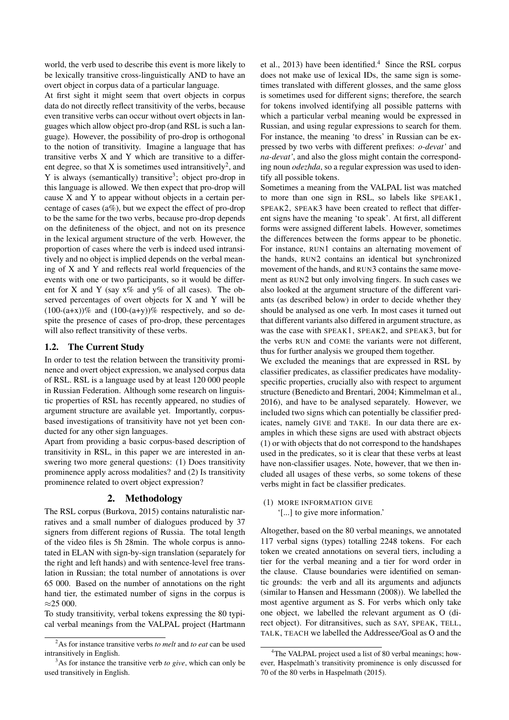world, the verb used to describe this event is more likely to be lexically transitive cross-linguistically AND to have an overt object in corpus data of a particular language.

At first sight it might seem that overt objects in corpus data do not directly reflect transitivity of the verbs, because even transitive verbs can occur without overt objects in languages which allow object pro-drop (and RSL is such a language). However, the possibility of pro-drop is orthogonal to the notion of transitivity. Imagine a language that has transitive verbs X and Y which are transitive to a different degree, so that X is sometimes used intransitively<sup>2</sup>, and Y is always (semantically) transitive<sup>3</sup>; object pro-drop in this language is allowed. We then expect that pro-drop will cause X and Y to appear without objects in a certain percentage of cases (a%), but we expect the effect of pro-drop to be the same for the two verbs, because pro-drop depends on the definiteness of the object, and not on its presence in the lexical argument structure of the verb. However, the proportion of cases where the verb is indeed used intransitively and no object is implied depends on the verbal meaning of X and Y and reflects real world frequencies of the events with one or two participants, so it would be different for X and Y (say  $x\%$  and  $y\%$  of all cases). The observed percentages of overt objects for X and Y will be  $(100-(a+x))\%$  and  $(100-(a+y))\%$  respectively, and so despite the presence of cases of pro-drop, these percentages will also reflect transitivity of these verbs.

## 1.2. The Current Study

In order to test the relation between the transitivity prominence and overt object expression, we analysed corpus data of RSL. RSL is a language used by at least 120 000 people in Russian Federation. Although some research on linguistic properties of RSL has recently appeared, no studies of argument structure are available yet. Importantly, corpusbased investigations of transitivity have not yet been conducted for any other sign languages.

Apart from providing a basic corpus-based description of transitivity in RSL, in this paper we are interested in answering two more general questions: (1) Does transitivity prominence apply across modalities? and (2) Is transitivity prominence related to overt object expression?

## 2. Methodology

The RSL corpus (Burkova, 2015) contains naturalistic narratives and a small number of dialogues produced by 37 signers from different regions of Russia. The total length of the video files is 5h 28min. The whole corpus is annotated in ELAN with sign-by-sign translation (separately for the right and left hands) and with sentence-level free translation in Russian; the total number of annotations is over 65 000. Based on the number of annotations on the right hand tier, the estimated number of signs in the corpus is ≈25 000.

To study transitivity, verbal tokens expressing the 80 typical verbal meanings from the VALPAL project (Hartmann et al., 2013) have been identified.<sup>4</sup> Since the RSL corpus does not make use of lexical IDs, the same sign is sometimes translated with different glosses, and the same gloss is sometimes used for different signs; therefore, the search for tokens involved identifying all possible patterns with which a particular verbal meaning would be expressed in Russian, and using regular expressions to search for them. For instance, the meaning 'to dress' in Russian can be expressed by two verbs with different prefixes: *o-devat'* and *na-devat'*, and also the gloss might contain the corresponding noun *odezhda*, so a regular expression was used to identify all possible tokens.

Sometimes a meaning from the VALPAL list was matched to more than one sign in RSL, so labels like SPEAK1, SPEAK2, SPEAK3 have been created to reflect that different signs have the meaning 'to speak'. At first, all different forms were assigned different labels. However, sometimes the differences between the forms appear to be phonetic. For instance, RUN1 contains an alternating movement of the hands, RUN2 contains an identical but synchronized movement of the hands, and RUN3 contains the same movement as RUN2 but only involving fingers. In such cases we also looked at the argument structure of the different variants (as described below) in order to decide whether they should be analysed as one verb. In most cases it turned out that different variants also differed in argument structure, as was the case with SPEAK1, SPEAK2, and SPEAK3, but for the verbs RUN and COME the variants were not different, thus for further analysis we grouped them together.

We excluded the meanings that are expressed in RSL by classifier predicates, as classifier predicates have modalityspecific properties, crucially also with respect to argument structure (Benedicto and Brentari, 2004; Kimmelman et al., 2016), and have to be analysed separately. However, we included two signs which can potentially be classifier predicates, namely GIVE and TAKE. In our data there are examples in which these signs are used with abstract objects (1) or with objects that do not correspond to the handshapes used in the predicates, so it is clear that these verbs at least have non-classifier usages. Note, however, that we then included all usages of these verbs, so some tokens of these verbs might in fact be classifier predicates.

(1) MORE INFORMATION GIVE '[...] to give more information.'

Altogether, based on the 80 verbal meanings, we annotated 117 verbal signs (types) totalling 2248 tokens. For each token we created annotations on several tiers, including a tier for the verbal meaning and a tier for word order in the clause. Clause boundaries were identified on semantic grounds: the verb and all its arguments and adjuncts (similar to Hansen and Hessmann (2008)). We labelled the most agentive argument as S. For verbs which only take one object, we labelled the relevant argument as O (direct object). For ditransitives, such as SAY, SPEAK, TELL, TALK, TEACH we labelled the Addressee/Goal as O and the

<sup>2</sup>As for instance transitive verbs *to melt* and *to eat* can be used intransitively in English.

<sup>3</sup>As for instance the transitive verb *to give*, which can only be used transitively in English.

<sup>&</sup>lt;sup>4</sup>The VALPAL project used a list of 80 verbal meanings; however, Haspelmath's transitivity prominence is only discussed for 70 of the 80 verbs in Haspelmath (2015).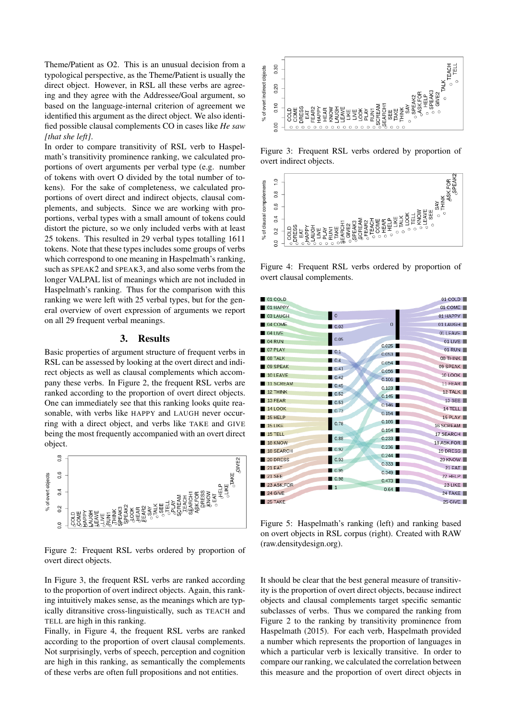Theme/Patient as O2. This is an unusual decision from a typological perspective, as the Theme/Patient is usually the direct object. However, in RSL all these verbs are agreeing and they agree with the Addressee/Goal argument, so based on the language-internal criterion of agreement we identified this argument as the direct object. We also identified possible clausal complements CO in cases like *He saw [that she left]*.

In order to compare transitivity of RSL verb to Haspelmath's transitivity prominence ranking, we calculated proportions of overt arguments per verbal type (e.g. number of tokens with overt O divided by the total number of tokens). For the sake of completeness, we calculated proportions of overt direct and indirect objects, clausal complements, and subjects. Since we are working with proportions, verbal types with a small amount of tokens could distort the picture, so we only included verbs with at least 25 tokens. This resulted in 29 verbal types totalling 1611 tokens. Note that these types includes some groups of verbs which correspond to one meaning in Haspelmath's ranking, such as SPEAK2 and SPEAK3, and also some verbs from the longer VALPAL list of meanings which are not included in Haspelmath's ranking. Thus for the comparison with this ranking we were left with 25 verbal types, but for the general overview of overt expression of arguments we report on all 29 frequent verbal meanings.

#### 3. Results

Basic properties of argument structure of frequent verbs in RSL can be assessed by looking at the overt direct and indirect objects as well as clausal complements which accompany these verbs. In Figure 2, the frequent RSL verbs are ranked according to the proportion of overt direct objects. One can immediately see that this ranking looks quite reasonable, with verbs like HAPPY and LAUGH never occurring with a direct object, and verbs like TAKE and GIVE being the most frequently accompanied with an overt direct object.



Figure 2: Frequent RSL verbs ordered by proportion of overt direct objects.

In Figure 3, the frequent RSL verbs are ranked according to the proportion of overt indirect objects. Again, this ranking intuitively makes sense, as the meanings which are typically ditransitive cross-linguistically, such as TEACH and TELL are high in this ranking.

Finally, in Figure 4, the frequent RSL verbs are ranked according to the proportion of overt clausal complements. Not surprisingly, verbs of speech, perception and cognition are high in this ranking, as semantically the complements of these verbs are often full propositions and not entities.



Figure 3: Frequent RSL verbs ordered by proportion of overt indirect objects.



Figure 4: Frequent RSL verbs ordered by proportion of overt clausal complements.

| 01 COLD          |                     |                | 01 COLD    |
|------------------|---------------------|----------------|------------|
| 01 HAPPY         |                     |                | 01 COME    |
| 03 LAUGH         | $\circ$             |                | 01 HAPPY   |
| 04 COME          | 0.03                | $\Omega$       | 01 LAUGH   |
| 04 LIVE          |                     |                | 01 LEAVE   |
| 04 RUN           | 0.05                |                | 01 LIVE    |
| 07 PLAY          | $\blacksquare$ 0.1  | 0.025          | 01 RUN     |
| 08 TALK          | $\blacksquare$ 0.4  | 0.053          | 08 THINK   |
| 09 SPEAK         | $\blacksquare$ 0.41 | 0.054          | 09 SPEAK   |
| 10 LEAVE         | $\blacksquare$ 0.42 | 0.056<br>0.106 | 10 LOOK    |
| 11 SCREAM        | $\Box$ 0.45         | 0.123          | 11 FEAR    |
| 12 THINK         | $\blacksquare$ 0.52 | 0.145          | 12 TALK    |
| 13 FEAR          | 0.53                | 0.146          | 13 SEE     |
| 14 LOOK          | 0.73                | 0.154          | 14 TELL    |
| $15$ HELP        |                     | 0.186          | 15 PLAY    |
| 15 LIKE          | 0.78                | 0.194          | 16 SCREAM  |
| 15 TELL          | 0.88                | 0.233          | 17 SEARCH  |
| 18 KNOW          |                     | 0.236          | 18 ASK FOR |
| <b>18 SEARCH</b> | $\Box$ 0.92         | 0.244          | 19 DRESS   |
| 20 DRESS         | 0.93                | 0.333          | 20 KNOW    |
| 21 EAT           | 0.95                | 0.349          | 21 EAT     |
| <b>21 SEE</b>    | $\blacksquare$ 0.98 | 0.473          | 22 HELP    |
| 23 ASK FOR       | $\blacksquare$ 1    | 0.64           | 23 LIKE    |
| 24 GIVE          |                     |                | 24 TAKE    |
| <b>25 TAKE</b>   |                     |                | 25 GIVE    |

Figure 5: Haspelmath's ranking (left) and ranking based on overt objects in RSL corpus (right). Created with RAW (raw.densitydesign.org).

It should be clear that the best general measure of transitivity is the proportion of overt direct objects, because indirect objects and clausal complements target specific semantic subclasses of verbs. Thus we compared the ranking from Figure 2 to the ranking by transitivity prominence from Haspelmath (2015). For each verb, Haspelmath provided a number which represents the proportion of languages in which a particular verb is lexically transitive. In order to compare our ranking, we calculated the correlation between this measure and the proportion of overt direct objects in